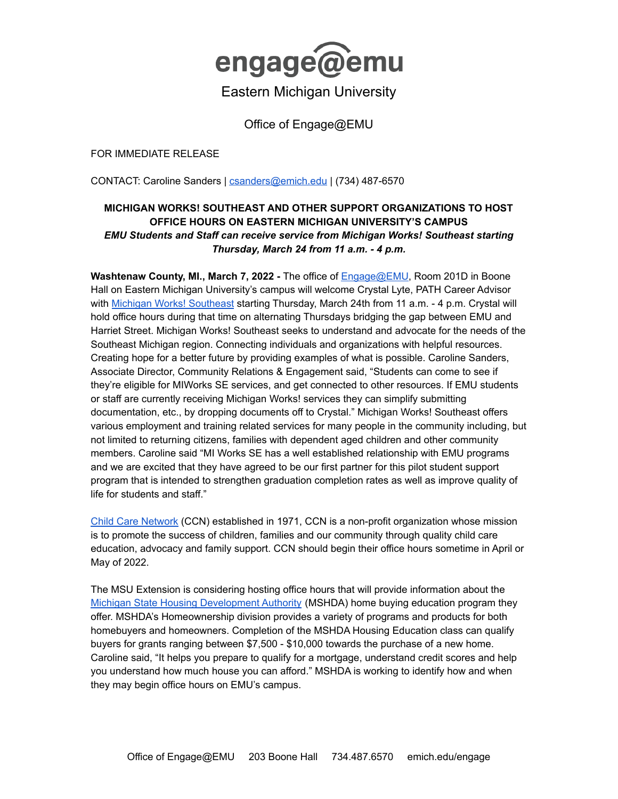

## Eastern Michigan University

Office of Engage@EMU

FOR IMMEDIATE RELEASE

CONTACT: Caroline Sanders | [csanders@emich.edu](mailto:csanders@emich.edu) | (734) 487-6570

## **MICHIGAN WORKS! SOUTHEAST AND OTHER SUPPORT ORGANIZATIONS TO HOST OFFICE HOURS ON EASTERN MICHIGAN UNIVERSITY'S CAMPUS** *EMU Students and Staff can receive service from Michigan Works! Southeast starting Thursday, March 24 from 11 a.m. - 4 p.m.*

**Washtenaw County, MI., March 7, 2022 -** The office of [Engage@EMU,](http://www.emich.edu/engage) Room 201D in Boone Hall on Eastern Michigan University's campus will welcome Crystal Lyte, PATH Career Advisor with Michigan Works! [Southeast](https://www.mwse.org/) starting Thursday, March 24th from 11 a.m. - 4 p.m. Crystal will hold office hours during that time on alternating Thursdays bridging the gap between EMU and Harriet Street. Michigan Works! Southeast seeks to understand and advocate for the needs of the Southeast Michigan region. Connecting individuals and organizations with helpful resources. Creating hope for a better future by providing examples of what is possible. Caroline Sanders, Associate Director, Community Relations & Engagement said, "Students can come to see if they're eligible for MIWorks SE services, and get connected to other resources. If EMU students or staff are currently receiving Michigan Works! services they can simplify submitting documentation, etc., by dropping documents off to Crystal." Michigan Works! Southeast offers various employment and training related services for many people in the community including, but not limited to returning citizens, families with dependent aged children and other community members. Caroline said "MI Works SE has a well established relationship with EMU programs and we are excited that they have agreed to be our first partner for this pilot student support program that is intended to strengthen graduation completion rates as well as improve quality of life for students and staff."

Child Care [Network](https://www.childcarenetwork.org/) (CCN) established in 1971, CCN is a non-profit organization whose mission is to promote the success of children, families and our community through quality child care education, advocacy and family support. CCN should begin their office hours sometime in April or May of 2022.

The MSU Extension is considering hosting office hours that will provide information about the Michigan State Housing [Development](https://www.michigan.gov/mshda/homeownership) Authority (MSHDA) home buying education program they offer. MSHDA's Homeownership division provides a variety of programs and products for both homebuyers and homeowners. Completion of the MSHDA Housing Education class can qualify buyers for grants ranging between \$7,500 - \$10,000 towards the purchase of a new home. Caroline said, "It helps you prepare to qualify for a mortgage, understand credit scores and help you understand how much house you can afford." MSHDA is working to identify how and when they may begin office hours on EMU's campus.